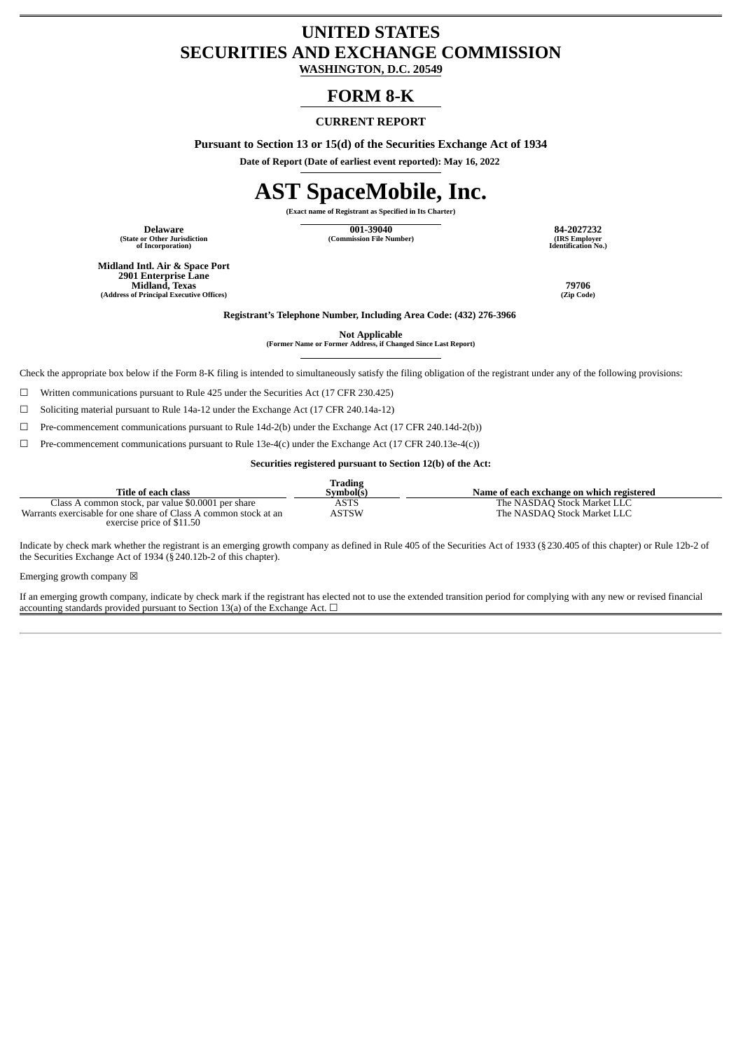# **UNITED STATES SECURITIES AND EXCHANGE COMMISSION**

**WASHINGTON, D.C. 20549**

# **FORM 8-K**

## **CURRENT REPORT**

#### **Pursuant to Section 13 or 15(d) of the Securities Exchange Act of 1934**

**Date of Report (Date of earliest event reported): May 16, 2022**

# **AST SpaceMobile, Inc.**

**(Exact name of Registrant as Specified in Its Charter)**

**(State or Other Jurisdiction of Incorporation)**

**Delaware 001-39040 84-2027232 (Commission File Number)** 

**Identification No.)**

**Midland Intl. Air & Space Port 2901 Enterprise Lane Midland, Texas 79706 (Address of Principal Executive Offices) (Zip Code)**

**Registrant's Telephone Number, Including Area Code: (432) 276-3966**

**Not Applicable**

**(Former Name or Former Address, if Changed Since Last Report)**

Check the appropriate box below if the Form 8-K filing is intended to simultaneously satisfy the filing obligation of the registrant under any of the following provisions:

☐ Written communications pursuant to Rule 425 under the Securities Act (17 CFR 230.425)

 $\Box$  Soliciting material pursuant to Rule 14a-12 under the Exchange Act (17 CFR 240.14a-12)

☐ Pre-commencement communications pursuant to Rule 14d-2(b) under the Exchange Act (17 CFR 240.14d-2(b))

☐ Pre-commencement communications pursuant to Rule 13e-4(c) under the Exchange Act (17 CFR 240.13e-4(c))

**Securities registered pursuant to Section 12(b) of the Act:**

|                                                                  | <b>Trading</b> |                                           |
|------------------------------------------------------------------|----------------|-------------------------------------------|
| Title of each class                                              | Symbol(s)      | Name of each exchange on which registered |
| Class A common stock, par value \$0.0001 per share               | ASTS           | The NASDAQ Stock Market LLC               |
| Warrants exercisable for one share of Class A common stock at an | ASTSW          | The NASDAO Stock Market LLC               |
| exercise price of \$11.50                                        |                |                                           |

Indicate by check mark whether the registrant is an emerging growth company as defined in Rule 405 of the Securities Act of 1933 (§230.405 of this chapter) or Rule 12b-2 of the Securities Exchange Act of 1934 (§240.12b-2 of this chapter).

Emerging growth company  $\boxtimes$ 

If an emerging growth company, indicate by check mark if the registrant has elected not to use the extended transition period for complying with any new or revised financial accounting standards provided pursuant to Section 13(a) of the Exchange Act. □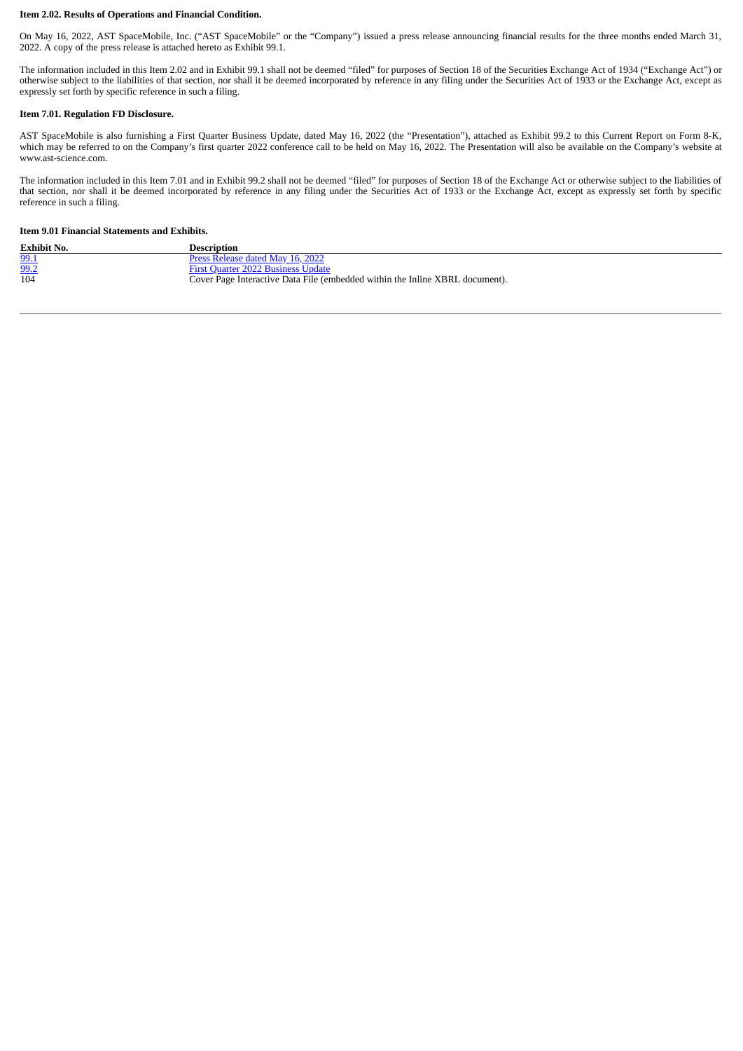#### **Item 2.02. Results of Operations and Financial Condition.**

On May 16, 2022, AST SpaceMobile, Inc. ("AST SpaceMobile" or the "Company") issued a press release announcing financial results for the three months ended March 31, 2022. A copy of the press release is attached hereto as Exhibit 99.1.

The information included in this Item 2.02 and in Exhibit 99.1 shall not be deemed "filed" for purposes of Section 18 of the Securities Exchange Act of 1934 ("Exchange Act") or otherwise subject to the liabilities of that section, nor shall it be deemed incorporated by reference in any filing under the Securities Act of 1933 or the Exchange Act, except as expressly set forth by specific reference in such a filing.

# **Item 7.01. Regulation FD Disclosure.**

AST SpaceMobile is also furnishing a First Quarter Business Update, dated May 16, 2022 (the "Presentation"), attached as Exhibit 99.2 to this Current Report on Form 8-K, which may be referred to on the Company's first quarter 2022 conference call to be held on May 16, 2022. The Presentation will also be available on the Company's website at www.ast-science.com.

The information included in this Item 7.01 and in Exhibit 99.2 shall not be deemed "filed" for purposes of Section 18 of the Exchange Act or otherwise subject to the liabilities of that section, nor shall it be deemed incorporated by reference in any filing under the Securities Act of 1933 or the Exchange Act, except as expressly set forth by specific reference in such a filing.

# **Item 9.01 Financial Statements and Exhibits.**

| <b>Exhibit No.</b> | Description                                                                  |
|--------------------|------------------------------------------------------------------------------|
| 99.1               | Press Release dated May 16, 2022                                             |
| 99.2               | <b>First Quarter 2022 Business Update</b>                                    |
| 104                | Cover Page Interactive Data File (embedded within the Inline XBRL document). |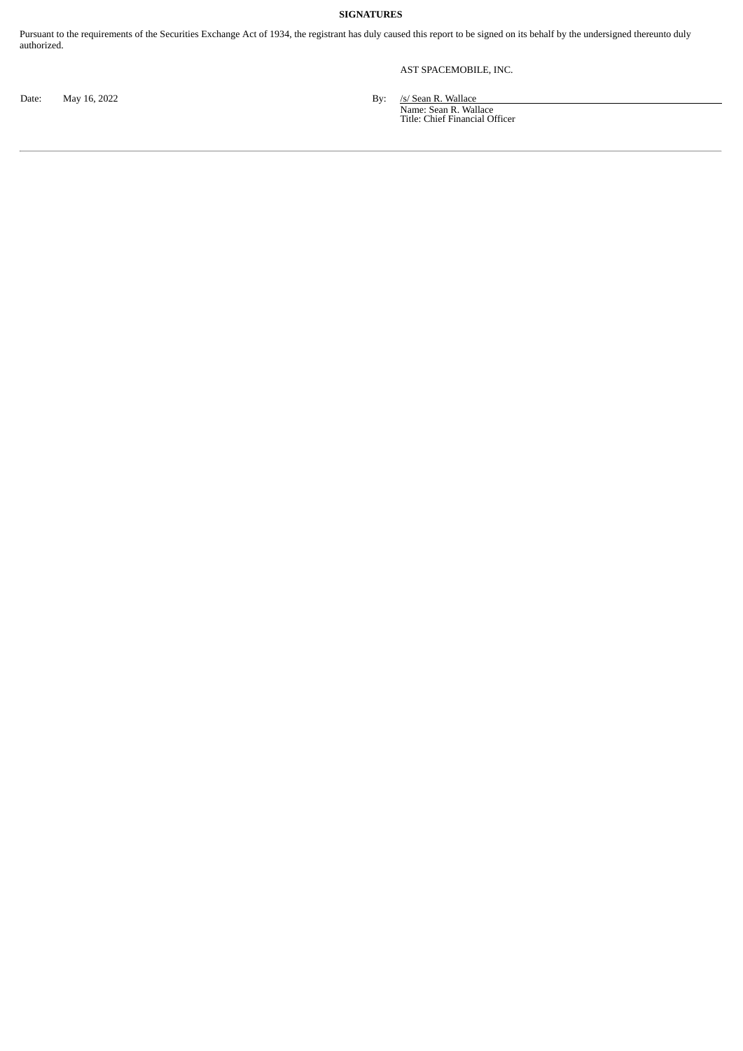# **SIGNATURES**

Pursuant to the requirements of the Securities Exchange Act of 1934, the registrant has duly caused this report to be signed on its behalf by the undersigned thereunto duly authorized.

## AST SPACEMOBILE, INC.

Date: May 16, 2022 **By:** *Alexander By: /s/ Sean R. Wallace* 

Name: Sean R. Wallace Title: Chief Financial Officer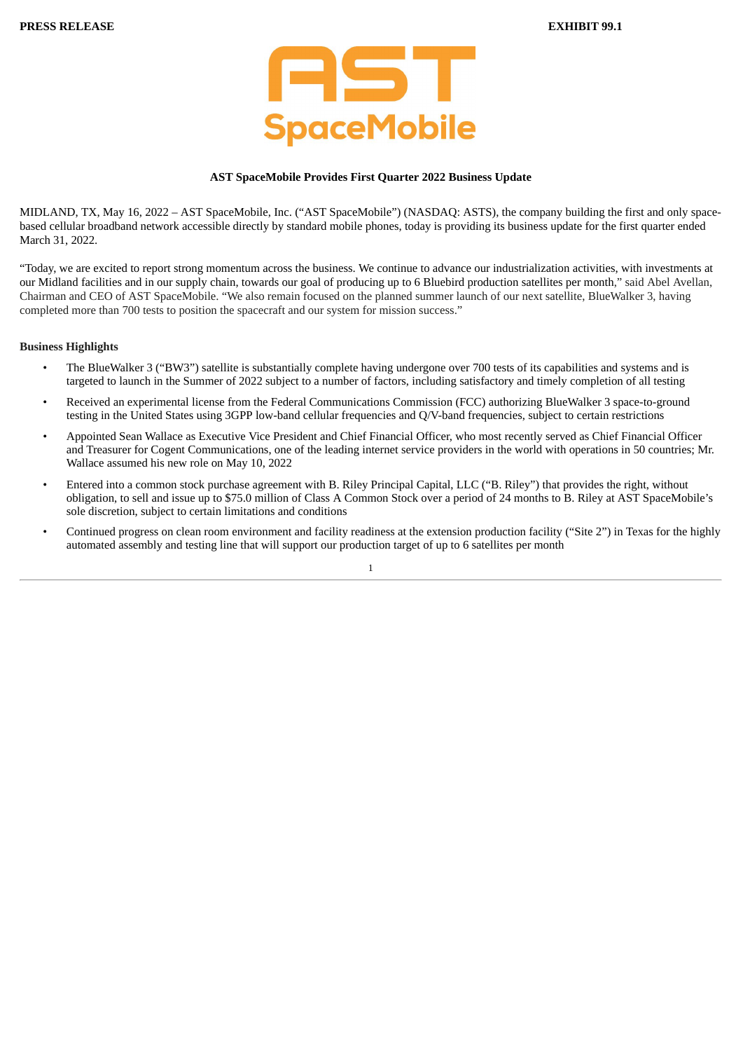

# **AST SpaceMobile Provides First Quarter 2022 Business Update**

<span id="page-3-0"></span>MIDLAND, TX, May 16, 2022 – AST SpaceMobile, Inc. ("AST SpaceMobile") (NASDAQ: ASTS), the company building the first and only spacebased cellular broadband network accessible directly by standard mobile phones, today is providing its business update for the first quarter ended March 31, 2022.

"Today, we are excited to report strong momentum across the business. We continue to advance our industrialization activities, with investments at our Midland facilities and in our supply chain, towards our goal of producing up to 6 Bluebird production satellites per month," said Abel Avellan, Chairman and CEO of AST SpaceMobile. "We also remain focused on the planned summer launch of our next satellite, BlueWalker 3, having completed more than 700 tests to position the spacecraft and our system for mission success."

## **Business Highlights**

- The BlueWalker 3 ("BW3") satellite is substantially complete having undergone over 700 tests of its capabilities and systems and is targeted to launch in the Summer of 2022 subject to a number of factors, including satisfactory and timely completion of all testing
- Received an experimental license from the Federal Communications Commission (FCC) authorizing BlueWalker 3 space-to-ground testing in the United States using 3GPP low-band cellular frequencies and Q/V-band frequencies, subject to certain restrictions
- Appointed Sean Wallace as Executive Vice President and Chief Financial Officer, who most recently served as Chief Financial Officer and Treasurer for Cogent Communications, one of the leading internet service providers in the world with operations in 50 countries; Mr. Wallace assumed his new role on May 10, 2022
- Entered into a common stock purchase agreement with B. Riley Principal Capital, LLC ("B. Riley") that provides the right, without obligation, to sell and issue up to \$75.0 million of Class A Common Stock over a period of 24 months to B. Riley at AST SpaceMobile's sole discretion, subject to certain limitations and conditions
- Continued progress on clean room environment and facility readiness at the extension production facility ("Site 2") in Texas for the highly automated assembly and testing line that will support our production target of up to 6 satellites per month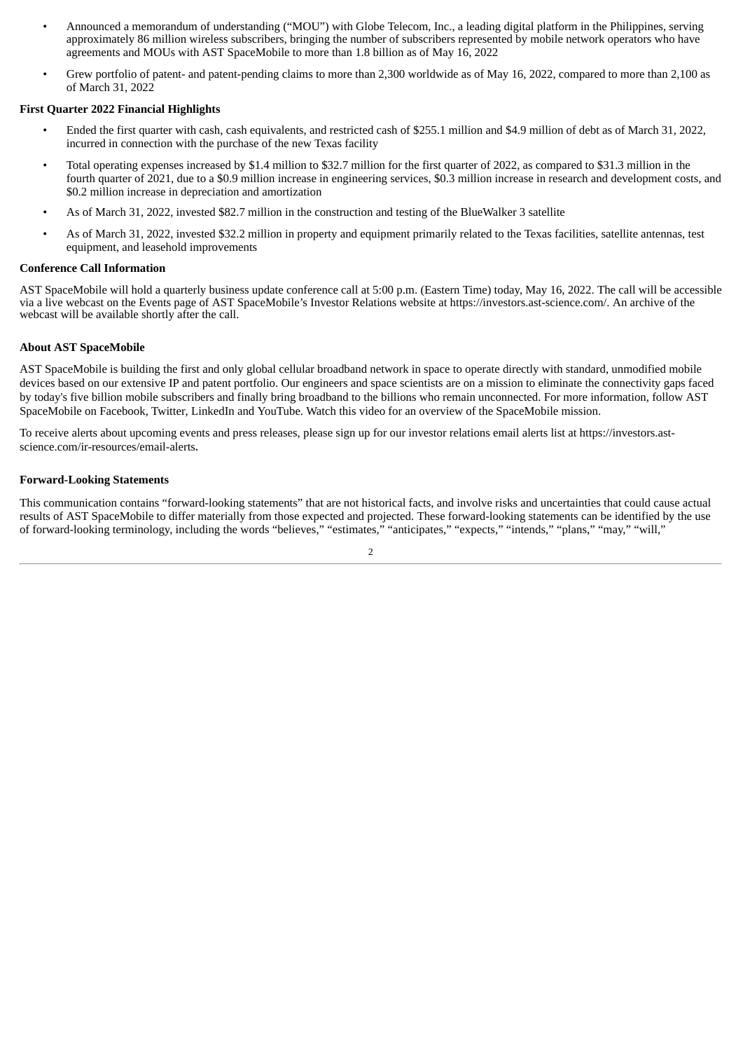- Announced a memorandum of understanding ("MOU") with Globe Telecom, Inc., a leading digital platform in the Philippines, serving approximately 86 million wireless subscribers, bringing the number of subscribers represented by mobile network operators who have agreements and MOUs with AST SpaceMobile to more than 1.8 billion as of May 16, 2022
- Grew portfolio of patent- and patent-pending claims to more than 2,300 worldwide as of May 16, 2022, compared to more than 2,100 as of March 31, 2022

## **First Quarter 2022 Financial Highlights**

- Ended the first quarter with cash, cash equivalents, and restricted cash of \$255.1 million and \$4.9 million of debt as of March 31, 2022, incurred in connection with the purchase of the new Texas facility
- Total operating expenses increased by \$1.4 million to \$32.7 million for the first quarter of 2022, as compared to \$31.3 million in the fourth quarter of 2021, due to a \$0.9 million increase in engineering services, \$0.3 million increase in research and development costs, and \$0.2 million increase in depreciation and amortization
- As of March 31, 2022, invested \$82.7 million in the construction and testing of the BlueWalker 3 satellite
- As of March 31, 2022, invested \$32.2 million in property and equipment primarily related to the Texas facilities, satellite antennas, test equipment, and leasehold improvements

# **Conference Call Information**

AST SpaceMobile will hold a quarterly business update conference call at 5:00 p.m. (Eastern Time) today, May 16, 2022. The call will be accessible via a live webcast on the Events page of AST SpaceMobile's Investor Relations website at https://investors.ast-science.com/. An archive of the webcast will be available shortly after the call.

# **About AST SpaceMobile**

AST SpaceMobile is building the first and only global cellular broadband network in space to operate directly with standard, unmodified mobile devices based on our extensive IP and patent portfolio. Our engineers and space scientists are on a mission to eliminate the connectivity gaps faced by today's five billion mobile subscribers and finally bring broadband to the billions who remain unconnected. For more information, follow AST SpaceMobile on Facebook, Twitter, LinkedIn and YouTube. Watch this video for an overview of the SpaceMobile mission.

To receive alerts about upcoming events and press releases, please sign up for our investor relations email alerts list at https://investors.astscience.com/ir-resources/email-alerts**.**

#### **Forward-Looking Statements**

This communication contains "forward-looking statements" that are not historical facts, and involve risks and uncertainties that could cause actual results of AST SpaceMobile to differ materially from those expected and projected. These forward-looking statements can be identified by the use of forward-looking terminology, including the words "believes," "estimates," "anticipates," "expects," "intends," "plans," "may," "will,"

 $\overline{2}$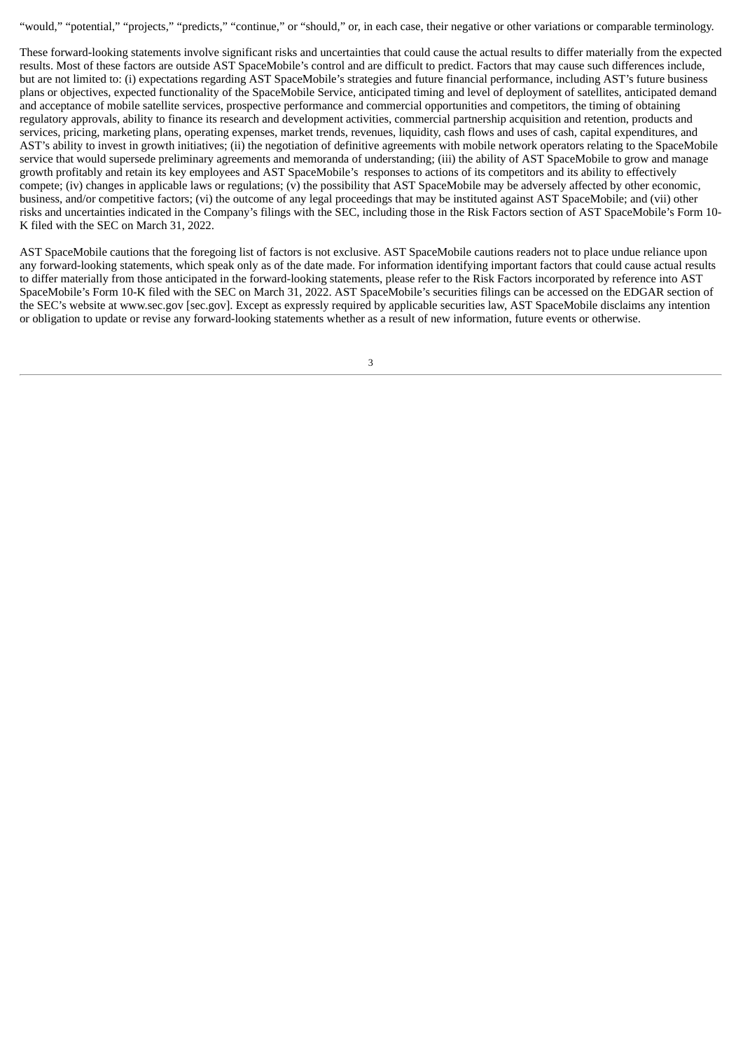"would," "potential," "projects," "predicts," "continue," or "should," or, in each case, their negative or other variations or comparable terminology.

These forward-looking statements involve significant risks and uncertainties that could cause the actual results to differ materially from the expected results. Most of these factors are outside AST SpaceMobile's control and are difficult to predict. Factors that may cause such differences include, but are not limited to: (i) expectations regarding AST SpaceMobile's strategies and future financial performance, including AST's future business plans or objectives, expected functionality of the SpaceMobile Service, anticipated timing and level of deployment of satellites, anticipated demand and acceptance of mobile satellite services, prospective performance and commercial opportunities and competitors, the timing of obtaining regulatory approvals, ability to finance its research and development activities, commercial partnership acquisition and retention, products and services, pricing, marketing plans, operating expenses, market trends, revenues, liquidity, cash flows and uses of cash, capital expenditures, and AST's ability to invest in growth initiatives; (ii) the negotiation of definitive agreements with mobile network operators relating to the SpaceMobile service that would supersede preliminary agreements and memoranda of understanding; (iii) the ability of AST SpaceMobile to grow and manage growth profitably and retain its key employees and AST SpaceMobile's responses to actions of its competitors and its ability to effectively compete; (iv) changes in applicable laws or regulations; (v) the possibility that AST SpaceMobile may be adversely affected by other economic, business, and/or competitive factors; (vi) the outcome of any legal proceedings that may be instituted against AST SpaceMobile; and (vii) other risks and uncertainties indicated in the Company's filings with the SEC, including those in the Risk Factors section of AST SpaceMobile's Form 10- K filed with the SEC on March 31, 2022.

AST SpaceMobile cautions that the foregoing list of factors is not exclusive. AST SpaceMobile cautions readers not to place undue reliance upon any forward-looking statements, which speak only as of the date made. For information identifying important factors that could cause actual results to differ materially from those anticipated in the forward-looking statements, please refer to the Risk Factors incorporated by reference into AST SpaceMobile's Form 10-K filed with the SEC on March 31, 2022. AST SpaceMobile's securities filings can be accessed on the EDGAR section of the SEC's website at www.sec.gov [sec.gov]. Except as expressly required by applicable securities law, AST SpaceMobile disclaims any intention or obligation to update or revise any forward-looking statements whether as a result of new information, future events or otherwise.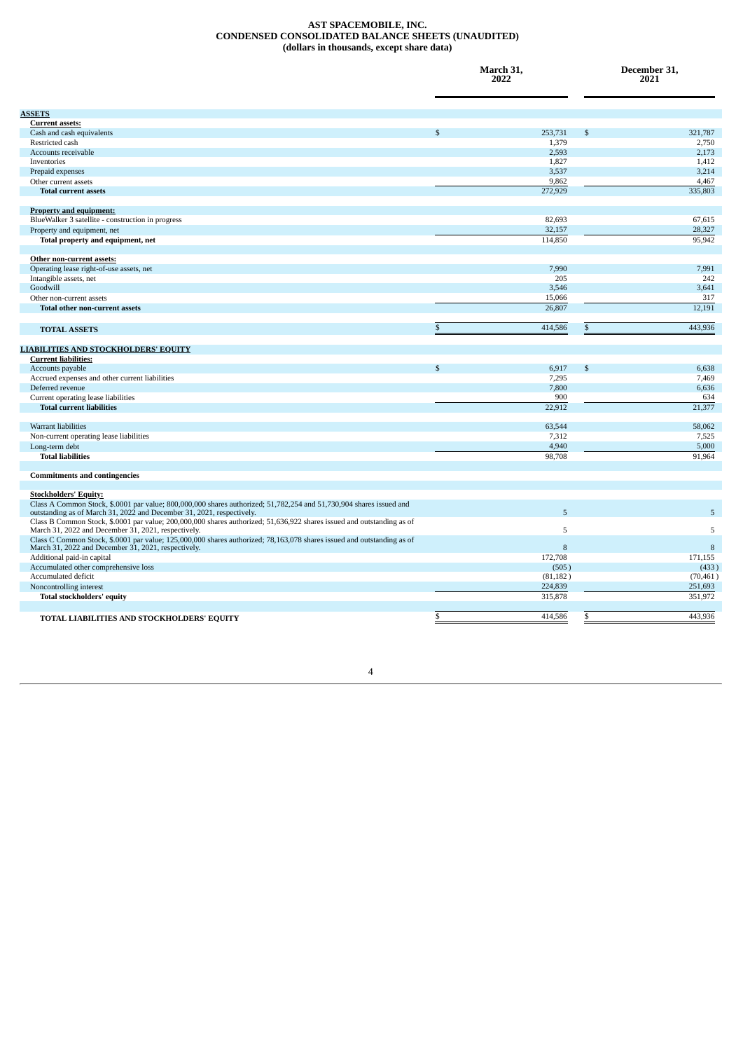#### **AST SPACEMOBILE, INC. CONDENSED CONSOLIDATED BALANCE SHEETS (UNAUDITED) (dollars in thousands, except share data)**

|                                                                                                                                                                                                 | March 31,<br>2022             | December 31,<br>2021 |
|-------------------------------------------------------------------------------------------------------------------------------------------------------------------------------------------------|-------------------------------|----------------------|
|                                                                                                                                                                                                 |                               |                      |
| <b>ASSETS</b><br><b>Current assets:</b>                                                                                                                                                         |                               |                      |
| Cash and cash equivalents                                                                                                                                                                       | $\mathbf{\hat{s}}$<br>253,731 | \$<br>321,787        |
| Restricted cash                                                                                                                                                                                 | 1,379                         | 2,750                |
| Accounts receivable                                                                                                                                                                             | 2,593                         | 2,173                |
| Inventories                                                                                                                                                                                     | 1,827                         | 1,412                |
| Prepaid expenses                                                                                                                                                                                | 3,537                         | 3,214                |
| Other current assets                                                                                                                                                                            | 9,862                         | 4,467                |
| <b>Total current assets</b>                                                                                                                                                                     | 272,929                       | 335,803              |
|                                                                                                                                                                                                 |                               |                      |
| <b>Property and equipment:</b>                                                                                                                                                                  | 82,693                        | 67,615               |
| BlueWalker 3 satellite - construction in progress                                                                                                                                               | 32,157                        | 28,327               |
| Property and equipment, net                                                                                                                                                                     | 114,850                       | 95,942               |
| Total property and equipment, net                                                                                                                                                               |                               |                      |
| Other non-current assets:                                                                                                                                                                       |                               |                      |
| Operating lease right-of-use assets, net                                                                                                                                                        | 7,990                         | 7,991                |
| Intangible assets, net                                                                                                                                                                          | 205                           | 242                  |
| Goodwill                                                                                                                                                                                        | 3,546                         | 3,641                |
| Other non-current assets                                                                                                                                                                        | 15,066                        | 317                  |
| <b>Total other non-current assets</b>                                                                                                                                                           | 26,807                        | 12.191               |
| <b>TOTAL ASSETS</b>                                                                                                                                                                             | \$<br>414,586                 | 443,936<br>\$        |
|                                                                                                                                                                                                 |                               |                      |
| <b>LIABILITIES AND STOCKHOLDERS' EQUITY</b>                                                                                                                                                     |                               |                      |
| <b>Current liabilities:</b>                                                                                                                                                                     |                               |                      |
| Accounts payable                                                                                                                                                                                | $\mathbf{s}$<br>6,917         | \$<br>6,638          |
| Accrued expenses and other current liabilities                                                                                                                                                  | 7,295                         | 7,469                |
| Deferred revenue                                                                                                                                                                                | 7,800                         | 6,636                |
| Current operating lease liabilities                                                                                                                                                             | 900                           | 634                  |
| <b>Total current liabilities</b>                                                                                                                                                                | 22,912                        | 21,377               |
| Warrant liabilities                                                                                                                                                                             | 63,544                        | 58,062               |
| Non-current operating lease liabilities                                                                                                                                                         | 7,312                         | 7,525                |
| Long-term debt                                                                                                                                                                                  | 4,940                         | 5,000                |
| <b>Total liabilities</b>                                                                                                                                                                        | 98,708                        | 91,964               |
|                                                                                                                                                                                                 |                               |                      |
| <b>Commitments and contingencies</b>                                                                                                                                                            |                               |                      |
| <b>Stockholders' Equity:</b>                                                                                                                                                                    |                               |                      |
| Class A Common Stock, \$.0001 par value; 800,000,000 shares authorized; 51,782,254 and 51,730,904 shares issued and                                                                             | $\overline{5}$                | 5                    |
| outstanding as of March 31, 2022 and December 31, 2021, respectively.<br>Class B Common Stock, \$.0001 par value; 200,000,000 shares authorized; 51,636,922 shares issued and outstanding as of |                               |                      |
| March 31, 2022 and December 31, 2021, respectively.                                                                                                                                             | 5                             | 5                    |
| Class C Common Stock, \$.0001 par value; 125,000,000 shares authorized; 78,163,078 shares issued and outstanding as of<br>March 31, 2022 and December 31, 2021, respectively.                   | 8                             | 8                    |
| Additional paid-in capital                                                                                                                                                                      | 172,708                       | 171,155              |
| Accumulated other comprehensive loss                                                                                                                                                            | (505)                         | (433)                |
| Accumulated deficit                                                                                                                                                                             | (81, 182)                     | (70, 461)            |
| Noncontrolling interest                                                                                                                                                                         | 224,839                       | 251,693              |
| <b>Total stockholders' equity</b>                                                                                                                                                               | 315,878                       | 351,972              |
|                                                                                                                                                                                                 |                               |                      |
| TOTAL LIABILITIES AND STOCKHOLDERS' EQUITY                                                                                                                                                      | \$<br>414,586                 | 443,936<br>\$        |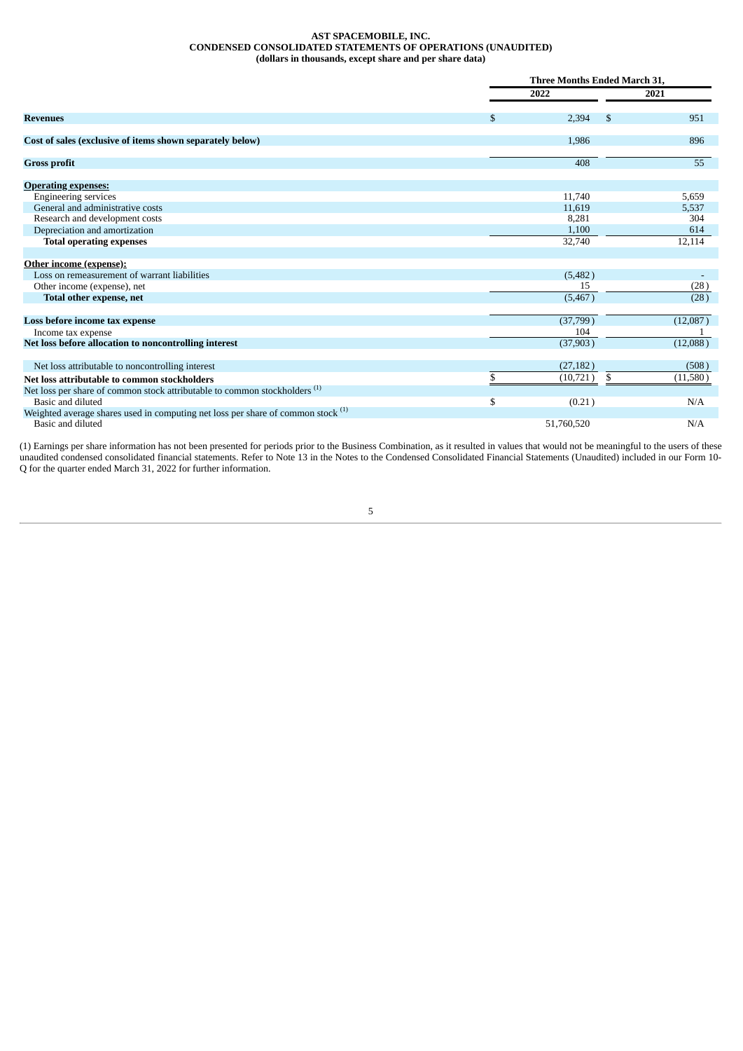#### **AST SPACEMOBILE, INC. CONDENSED CONSOLIDATED STATEMENTS OF OPERATIONS (UNAUDITED) (dollars in thousands, except share and per share data)**

|                                                                                             | <b>Three Months Ended March 31,</b> |                 |          |
|---------------------------------------------------------------------------------------------|-------------------------------------|-----------------|----------|
|                                                                                             |                                     | 2022            | 2021     |
| <b>Revenues</b>                                                                             | \$                                  | \$<br>2,394     | 951      |
| Cost of sales (exclusive of items shown separately below)                                   |                                     | 1,986           | 896      |
| <b>Gross profit</b>                                                                         |                                     | 408             | 55       |
| <b>Operating expenses:</b>                                                                  |                                     |                 |          |
| <b>Engineering services</b>                                                                 |                                     | 11,740          | 5,659    |
| General and administrative costs                                                            |                                     | 11,619          | 5,537    |
| Research and development costs                                                              |                                     | 8,281           | 304      |
| Depreciation and amortization                                                               |                                     | 1,100           | 614      |
| <b>Total operating expenses</b>                                                             |                                     | 32,740          | 12,114   |
|                                                                                             |                                     |                 |          |
| Other income (expense):                                                                     |                                     |                 |          |
| Loss on remeasurement of warrant liabilities                                                |                                     | (5,482)         |          |
| Other income (expense), net                                                                 |                                     | 15              | (28)     |
| Total other expense, net                                                                    |                                     | (5, 467)        | (28)     |
| Loss before income tax expense                                                              |                                     | (37,799)        | (12,087) |
| Income tax expense                                                                          |                                     | 104             |          |
| Net loss before allocation to noncontrolling interest                                       |                                     | (37, 903)       | (12,088) |
|                                                                                             |                                     | (27, 182)       | (508)    |
| Net loss attributable to noncontrolling interest                                            |                                     |                 |          |
| Net loss attributable to common stockholders                                                | \$                                  | (10, 721)<br>\$ | (11,580) |
| Net loss per share of common stock attributable to common stockholders <sup>(1)</sup>       |                                     |                 |          |
| Basic and diluted                                                                           | \$                                  | (0.21)          | N/A      |
| Weighted average shares used in computing net loss per share of common stock <sup>(1)</sup> |                                     |                 |          |
| Basic and diluted                                                                           |                                     | 51,760,520      | N/A      |

(1) Earnings per share information has not been presented for periods prior to the Business Combination, as it resulted in values that would not be meaningful to the users of these unaudited condensed consolidated financial statements. Refer to Note 13 in the Notes to the Condensed Consolidated Financial Statements (Unaudited) included in our Form 10- Q for the quarter ended March 31, 2022 for further information.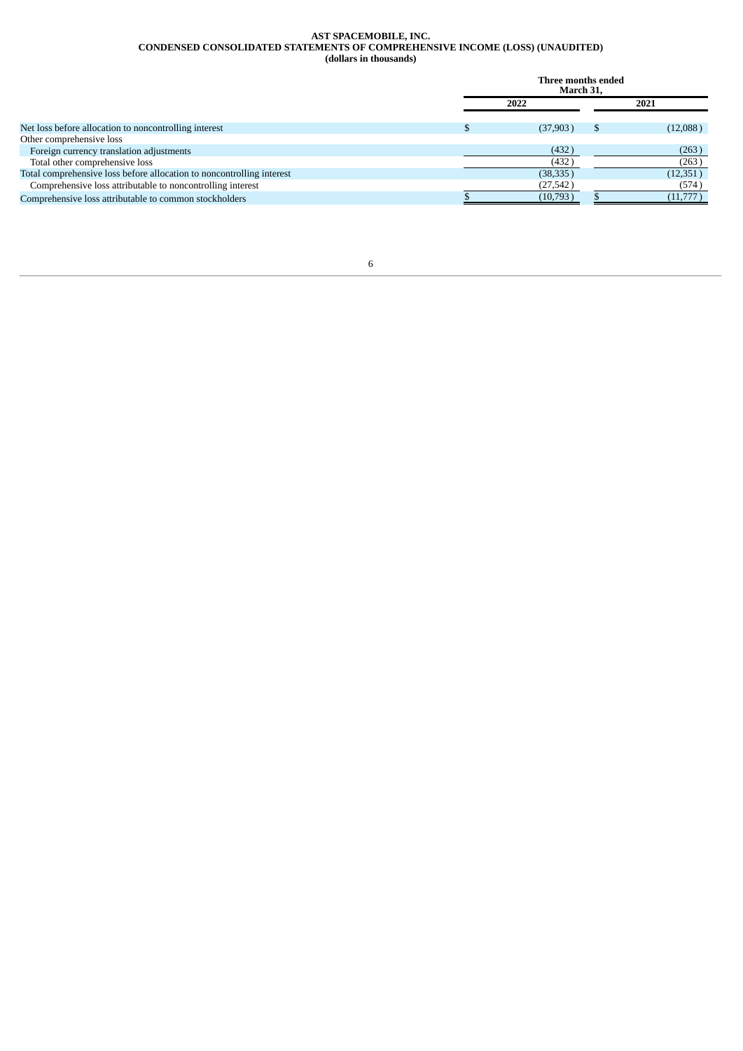#### **AST SPACEMOBILE, INC. CONDENSED CONSOLIDATED STATEMENTS OF COMPREHENSIVE INCOME (LOSS) (UNAUDITED) (dollars in thousands)**

|                                                                       |      | Three months ended<br>March 31, |  |           |  |
|-----------------------------------------------------------------------|------|---------------------------------|--|-----------|--|
|                                                                       | 2022 |                                 |  | 2021      |  |
|                                                                       |      |                                 |  |           |  |
| Net loss before allocation to noncontrolling interest                 |      | (37,903)                        |  | (12,088)  |  |
| Other comprehensive loss                                              |      |                                 |  |           |  |
| Foreign currency translation adjustments                              |      | (432)                           |  | (263)     |  |
| Total other comprehensive loss                                        |      | (432)                           |  | (263)     |  |
| Total comprehensive loss before allocation to noncontrolling interest |      | (38, 335)                       |  | (12, 351) |  |
| Comprehensive loss attributable to noncontrolling interest            |      | (27, 542)                       |  | (574)     |  |
| Comprehensive loss attributable to common stockholders                |      | (10,793)                        |  | (11,777)  |  |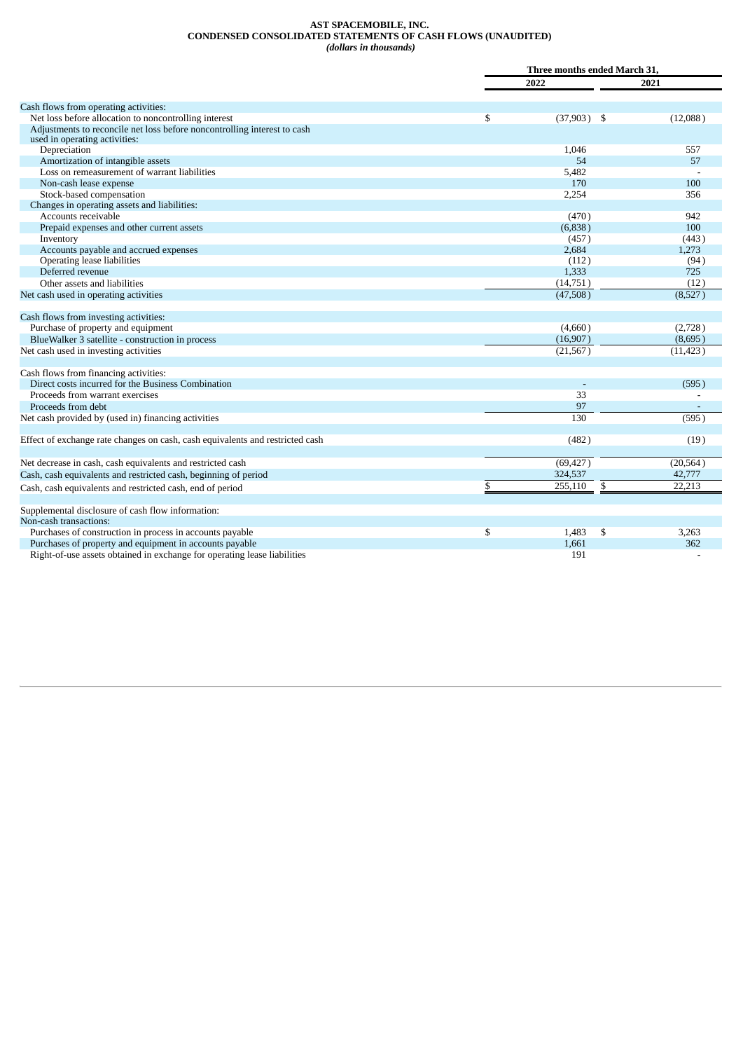#### **AST SPACEMOBILE, INC. CONDENSED CONSOLIDATED STATEMENTS OF CASH FLOWS (UNAUDITED)** *(dollars in thousands)*

| 2022<br>2021<br>Cash flows from operating activities:<br>Net loss before allocation to noncontrolling interest<br>\$<br>$(37,903)$ \$<br>(12,088)<br>Adjustments to reconcile net loss before noncontrolling interest to cash<br>used in operating activities:<br>Depreciation<br>1,046<br>557<br>Amortization of intangible assets<br>54<br>57<br>Loss on remeasurement of warrant liabilities<br>5,482<br>Non-cash lease expense<br>170<br>100<br>Stock-based compensation<br>2,254<br>356<br>Changes in operating assets and liabilities:<br>Accounts receivable<br>942<br>(470)<br>100<br>Prepaid expenses and other current assets<br>(6,838)<br>Inventory<br>(443)<br>(457)<br>Accounts payable and accrued expenses<br>2,684<br>1,273<br>Operating lease liabilities<br>(112)<br>(94)<br>Deferred revenue<br>1,333<br>725<br>(14, 751)<br>(12)<br>Other assets and liabilities<br>(8,527)<br>Net cash used in operating activities<br>(47,508)<br>Cash flows from investing activities:<br>Purchase of property and equipment<br>(4,660)<br>(2,728)<br>BlueWalker 3 satellite - construction in process<br>(16,907)<br>(8,695)<br>Net cash used in investing activities<br>(21, 567)<br>(11, 423)<br>Cash flows from financing activities:<br>Direct costs incurred for the Business Combination<br>(595)<br>Proceeds from warrant exercises<br>33<br>97<br>Proceeds from debt<br>Net cash provided by (used in) financing activities<br>130<br>(595)<br>Effect of exchange rate changes on cash, cash equivalents and restricted cash<br>(482)<br>(19)<br>Net decrease in cash, cash equivalents and restricted cash<br>(69, 427)<br>(20, 564)<br>324,537<br>42,777<br>Cash, cash equivalents and restricted cash, beginning of period<br>\$<br>\$<br>255,110<br>22,213<br>Cash, cash equivalents and restricted cash, end of period<br>Supplemental disclosure of cash flow information:<br>Non-cash transactions:<br>\$<br>Purchases of construction in process in accounts payable<br>1,483<br>\$<br>3,263<br>Purchases of property and equipment in accounts payable<br>1,661<br>362 |                                                                          | Three months ended March 31, |  |  |  |
|--------------------------------------------------------------------------------------------------------------------------------------------------------------------------------------------------------------------------------------------------------------------------------------------------------------------------------------------------------------------------------------------------------------------------------------------------------------------------------------------------------------------------------------------------------------------------------------------------------------------------------------------------------------------------------------------------------------------------------------------------------------------------------------------------------------------------------------------------------------------------------------------------------------------------------------------------------------------------------------------------------------------------------------------------------------------------------------------------------------------------------------------------------------------------------------------------------------------------------------------------------------------------------------------------------------------------------------------------------------------------------------------------------------------------------------------------------------------------------------------------------------------------------------------------------------------------------------------------------------------------------------------------------------------------------------------------------------------------------------------------------------------------------------------------------------------------------------------------------------------------------------------------------------------------------------------------------------------------------------------------------------------------------------------------------------------------------------------------|--------------------------------------------------------------------------|------------------------------|--|--|--|
|                                                                                                                                                                                                                                                                                                                                                                                                                                                                                                                                                                                                                                                                                                                                                                                                                                                                                                                                                                                                                                                                                                                                                                                                                                                                                                                                                                                                                                                                                                                                                                                                                                                                                                                                                                                                                                                                                                                                                                                                                                                                                                  |                                                                          |                              |  |  |  |
|                                                                                                                                                                                                                                                                                                                                                                                                                                                                                                                                                                                                                                                                                                                                                                                                                                                                                                                                                                                                                                                                                                                                                                                                                                                                                                                                                                                                                                                                                                                                                                                                                                                                                                                                                                                                                                                                                                                                                                                                                                                                                                  |                                                                          |                              |  |  |  |
|                                                                                                                                                                                                                                                                                                                                                                                                                                                                                                                                                                                                                                                                                                                                                                                                                                                                                                                                                                                                                                                                                                                                                                                                                                                                                                                                                                                                                                                                                                                                                                                                                                                                                                                                                                                                                                                                                                                                                                                                                                                                                                  |                                                                          |                              |  |  |  |
|                                                                                                                                                                                                                                                                                                                                                                                                                                                                                                                                                                                                                                                                                                                                                                                                                                                                                                                                                                                                                                                                                                                                                                                                                                                                                                                                                                                                                                                                                                                                                                                                                                                                                                                                                                                                                                                                                                                                                                                                                                                                                                  |                                                                          |                              |  |  |  |
|                                                                                                                                                                                                                                                                                                                                                                                                                                                                                                                                                                                                                                                                                                                                                                                                                                                                                                                                                                                                                                                                                                                                                                                                                                                                                                                                                                                                                                                                                                                                                                                                                                                                                                                                                                                                                                                                                                                                                                                                                                                                                                  |                                                                          |                              |  |  |  |
|                                                                                                                                                                                                                                                                                                                                                                                                                                                                                                                                                                                                                                                                                                                                                                                                                                                                                                                                                                                                                                                                                                                                                                                                                                                                                                                                                                                                                                                                                                                                                                                                                                                                                                                                                                                                                                                                                                                                                                                                                                                                                                  |                                                                          |                              |  |  |  |
|                                                                                                                                                                                                                                                                                                                                                                                                                                                                                                                                                                                                                                                                                                                                                                                                                                                                                                                                                                                                                                                                                                                                                                                                                                                                                                                                                                                                                                                                                                                                                                                                                                                                                                                                                                                                                                                                                                                                                                                                                                                                                                  |                                                                          |                              |  |  |  |
|                                                                                                                                                                                                                                                                                                                                                                                                                                                                                                                                                                                                                                                                                                                                                                                                                                                                                                                                                                                                                                                                                                                                                                                                                                                                                                                                                                                                                                                                                                                                                                                                                                                                                                                                                                                                                                                                                                                                                                                                                                                                                                  |                                                                          |                              |  |  |  |
|                                                                                                                                                                                                                                                                                                                                                                                                                                                                                                                                                                                                                                                                                                                                                                                                                                                                                                                                                                                                                                                                                                                                                                                                                                                                                                                                                                                                                                                                                                                                                                                                                                                                                                                                                                                                                                                                                                                                                                                                                                                                                                  |                                                                          |                              |  |  |  |
|                                                                                                                                                                                                                                                                                                                                                                                                                                                                                                                                                                                                                                                                                                                                                                                                                                                                                                                                                                                                                                                                                                                                                                                                                                                                                                                                                                                                                                                                                                                                                                                                                                                                                                                                                                                                                                                                                                                                                                                                                                                                                                  |                                                                          |                              |  |  |  |
|                                                                                                                                                                                                                                                                                                                                                                                                                                                                                                                                                                                                                                                                                                                                                                                                                                                                                                                                                                                                                                                                                                                                                                                                                                                                                                                                                                                                                                                                                                                                                                                                                                                                                                                                                                                                                                                                                                                                                                                                                                                                                                  |                                                                          |                              |  |  |  |
|                                                                                                                                                                                                                                                                                                                                                                                                                                                                                                                                                                                                                                                                                                                                                                                                                                                                                                                                                                                                                                                                                                                                                                                                                                                                                                                                                                                                                                                                                                                                                                                                                                                                                                                                                                                                                                                                                                                                                                                                                                                                                                  |                                                                          |                              |  |  |  |
|                                                                                                                                                                                                                                                                                                                                                                                                                                                                                                                                                                                                                                                                                                                                                                                                                                                                                                                                                                                                                                                                                                                                                                                                                                                                                                                                                                                                                                                                                                                                                                                                                                                                                                                                                                                                                                                                                                                                                                                                                                                                                                  |                                                                          |                              |  |  |  |
|                                                                                                                                                                                                                                                                                                                                                                                                                                                                                                                                                                                                                                                                                                                                                                                                                                                                                                                                                                                                                                                                                                                                                                                                                                                                                                                                                                                                                                                                                                                                                                                                                                                                                                                                                                                                                                                                                                                                                                                                                                                                                                  |                                                                          |                              |  |  |  |
|                                                                                                                                                                                                                                                                                                                                                                                                                                                                                                                                                                                                                                                                                                                                                                                                                                                                                                                                                                                                                                                                                                                                                                                                                                                                                                                                                                                                                                                                                                                                                                                                                                                                                                                                                                                                                                                                                                                                                                                                                                                                                                  |                                                                          |                              |  |  |  |
|                                                                                                                                                                                                                                                                                                                                                                                                                                                                                                                                                                                                                                                                                                                                                                                                                                                                                                                                                                                                                                                                                                                                                                                                                                                                                                                                                                                                                                                                                                                                                                                                                                                                                                                                                                                                                                                                                                                                                                                                                                                                                                  |                                                                          |                              |  |  |  |
|                                                                                                                                                                                                                                                                                                                                                                                                                                                                                                                                                                                                                                                                                                                                                                                                                                                                                                                                                                                                                                                                                                                                                                                                                                                                                                                                                                                                                                                                                                                                                                                                                                                                                                                                                                                                                                                                                                                                                                                                                                                                                                  |                                                                          |                              |  |  |  |
|                                                                                                                                                                                                                                                                                                                                                                                                                                                                                                                                                                                                                                                                                                                                                                                                                                                                                                                                                                                                                                                                                                                                                                                                                                                                                                                                                                                                                                                                                                                                                                                                                                                                                                                                                                                                                                                                                                                                                                                                                                                                                                  |                                                                          |                              |  |  |  |
|                                                                                                                                                                                                                                                                                                                                                                                                                                                                                                                                                                                                                                                                                                                                                                                                                                                                                                                                                                                                                                                                                                                                                                                                                                                                                                                                                                                                                                                                                                                                                                                                                                                                                                                                                                                                                                                                                                                                                                                                                                                                                                  |                                                                          |                              |  |  |  |
|                                                                                                                                                                                                                                                                                                                                                                                                                                                                                                                                                                                                                                                                                                                                                                                                                                                                                                                                                                                                                                                                                                                                                                                                                                                                                                                                                                                                                                                                                                                                                                                                                                                                                                                                                                                                                                                                                                                                                                                                                                                                                                  |                                                                          |                              |  |  |  |
|                                                                                                                                                                                                                                                                                                                                                                                                                                                                                                                                                                                                                                                                                                                                                                                                                                                                                                                                                                                                                                                                                                                                                                                                                                                                                                                                                                                                                                                                                                                                                                                                                                                                                                                                                                                                                                                                                                                                                                                                                                                                                                  |                                                                          |                              |  |  |  |
|                                                                                                                                                                                                                                                                                                                                                                                                                                                                                                                                                                                                                                                                                                                                                                                                                                                                                                                                                                                                                                                                                                                                                                                                                                                                                                                                                                                                                                                                                                                                                                                                                                                                                                                                                                                                                                                                                                                                                                                                                                                                                                  |                                                                          |                              |  |  |  |
|                                                                                                                                                                                                                                                                                                                                                                                                                                                                                                                                                                                                                                                                                                                                                                                                                                                                                                                                                                                                                                                                                                                                                                                                                                                                                                                                                                                                                                                                                                                                                                                                                                                                                                                                                                                                                                                                                                                                                                                                                                                                                                  |                                                                          |                              |  |  |  |
|                                                                                                                                                                                                                                                                                                                                                                                                                                                                                                                                                                                                                                                                                                                                                                                                                                                                                                                                                                                                                                                                                                                                                                                                                                                                                                                                                                                                                                                                                                                                                                                                                                                                                                                                                                                                                                                                                                                                                                                                                                                                                                  |                                                                          |                              |  |  |  |
|                                                                                                                                                                                                                                                                                                                                                                                                                                                                                                                                                                                                                                                                                                                                                                                                                                                                                                                                                                                                                                                                                                                                                                                                                                                                                                                                                                                                                                                                                                                                                                                                                                                                                                                                                                                                                                                                                                                                                                                                                                                                                                  |                                                                          |                              |  |  |  |
|                                                                                                                                                                                                                                                                                                                                                                                                                                                                                                                                                                                                                                                                                                                                                                                                                                                                                                                                                                                                                                                                                                                                                                                                                                                                                                                                                                                                                                                                                                                                                                                                                                                                                                                                                                                                                                                                                                                                                                                                                                                                                                  |                                                                          |                              |  |  |  |
|                                                                                                                                                                                                                                                                                                                                                                                                                                                                                                                                                                                                                                                                                                                                                                                                                                                                                                                                                                                                                                                                                                                                                                                                                                                                                                                                                                                                                                                                                                                                                                                                                                                                                                                                                                                                                                                                                                                                                                                                                                                                                                  |                                                                          |                              |  |  |  |
|                                                                                                                                                                                                                                                                                                                                                                                                                                                                                                                                                                                                                                                                                                                                                                                                                                                                                                                                                                                                                                                                                                                                                                                                                                                                                                                                                                                                                                                                                                                                                                                                                                                                                                                                                                                                                                                                                                                                                                                                                                                                                                  |                                                                          |                              |  |  |  |
|                                                                                                                                                                                                                                                                                                                                                                                                                                                                                                                                                                                                                                                                                                                                                                                                                                                                                                                                                                                                                                                                                                                                                                                                                                                                                                                                                                                                                                                                                                                                                                                                                                                                                                                                                                                                                                                                                                                                                                                                                                                                                                  |                                                                          |                              |  |  |  |
|                                                                                                                                                                                                                                                                                                                                                                                                                                                                                                                                                                                                                                                                                                                                                                                                                                                                                                                                                                                                                                                                                                                                                                                                                                                                                                                                                                                                                                                                                                                                                                                                                                                                                                                                                                                                                                                                                                                                                                                                                                                                                                  |                                                                          |                              |  |  |  |
|                                                                                                                                                                                                                                                                                                                                                                                                                                                                                                                                                                                                                                                                                                                                                                                                                                                                                                                                                                                                                                                                                                                                                                                                                                                                                                                                                                                                                                                                                                                                                                                                                                                                                                                                                                                                                                                                                                                                                                                                                                                                                                  |                                                                          |                              |  |  |  |
|                                                                                                                                                                                                                                                                                                                                                                                                                                                                                                                                                                                                                                                                                                                                                                                                                                                                                                                                                                                                                                                                                                                                                                                                                                                                                                                                                                                                                                                                                                                                                                                                                                                                                                                                                                                                                                                                                                                                                                                                                                                                                                  |                                                                          |                              |  |  |  |
|                                                                                                                                                                                                                                                                                                                                                                                                                                                                                                                                                                                                                                                                                                                                                                                                                                                                                                                                                                                                                                                                                                                                                                                                                                                                                                                                                                                                                                                                                                                                                                                                                                                                                                                                                                                                                                                                                                                                                                                                                                                                                                  |                                                                          |                              |  |  |  |
|                                                                                                                                                                                                                                                                                                                                                                                                                                                                                                                                                                                                                                                                                                                                                                                                                                                                                                                                                                                                                                                                                                                                                                                                                                                                                                                                                                                                                                                                                                                                                                                                                                                                                                                                                                                                                                                                                                                                                                                                                                                                                                  |                                                                          |                              |  |  |  |
|                                                                                                                                                                                                                                                                                                                                                                                                                                                                                                                                                                                                                                                                                                                                                                                                                                                                                                                                                                                                                                                                                                                                                                                                                                                                                                                                                                                                                                                                                                                                                                                                                                                                                                                                                                                                                                                                                                                                                                                                                                                                                                  |                                                                          |                              |  |  |  |
|                                                                                                                                                                                                                                                                                                                                                                                                                                                                                                                                                                                                                                                                                                                                                                                                                                                                                                                                                                                                                                                                                                                                                                                                                                                                                                                                                                                                                                                                                                                                                                                                                                                                                                                                                                                                                                                                                                                                                                                                                                                                                                  |                                                                          |                              |  |  |  |
|                                                                                                                                                                                                                                                                                                                                                                                                                                                                                                                                                                                                                                                                                                                                                                                                                                                                                                                                                                                                                                                                                                                                                                                                                                                                                                                                                                                                                                                                                                                                                                                                                                                                                                                                                                                                                                                                                                                                                                                                                                                                                                  |                                                                          |                              |  |  |  |
|                                                                                                                                                                                                                                                                                                                                                                                                                                                                                                                                                                                                                                                                                                                                                                                                                                                                                                                                                                                                                                                                                                                                                                                                                                                                                                                                                                                                                                                                                                                                                                                                                                                                                                                                                                                                                                                                                                                                                                                                                                                                                                  |                                                                          |                              |  |  |  |
|                                                                                                                                                                                                                                                                                                                                                                                                                                                                                                                                                                                                                                                                                                                                                                                                                                                                                                                                                                                                                                                                                                                                                                                                                                                                                                                                                                                                                                                                                                                                                                                                                                                                                                                                                                                                                                                                                                                                                                                                                                                                                                  |                                                                          |                              |  |  |  |
|                                                                                                                                                                                                                                                                                                                                                                                                                                                                                                                                                                                                                                                                                                                                                                                                                                                                                                                                                                                                                                                                                                                                                                                                                                                                                                                                                                                                                                                                                                                                                                                                                                                                                                                                                                                                                                                                                                                                                                                                                                                                                                  |                                                                          |                              |  |  |  |
|                                                                                                                                                                                                                                                                                                                                                                                                                                                                                                                                                                                                                                                                                                                                                                                                                                                                                                                                                                                                                                                                                                                                                                                                                                                                                                                                                                                                                                                                                                                                                                                                                                                                                                                                                                                                                                                                                                                                                                                                                                                                                                  |                                                                          |                              |  |  |  |
|                                                                                                                                                                                                                                                                                                                                                                                                                                                                                                                                                                                                                                                                                                                                                                                                                                                                                                                                                                                                                                                                                                                                                                                                                                                                                                                                                                                                                                                                                                                                                                                                                                                                                                                                                                                                                                                                                                                                                                                                                                                                                                  |                                                                          |                              |  |  |  |
|                                                                                                                                                                                                                                                                                                                                                                                                                                                                                                                                                                                                                                                                                                                                                                                                                                                                                                                                                                                                                                                                                                                                                                                                                                                                                                                                                                                                                                                                                                                                                                                                                                                                                                                                                                                                                                                                                                                                                                                                                                                                                                  | Right-of-use assets obtained in exchange for operating lease liabilities | 191                          |  |  |  |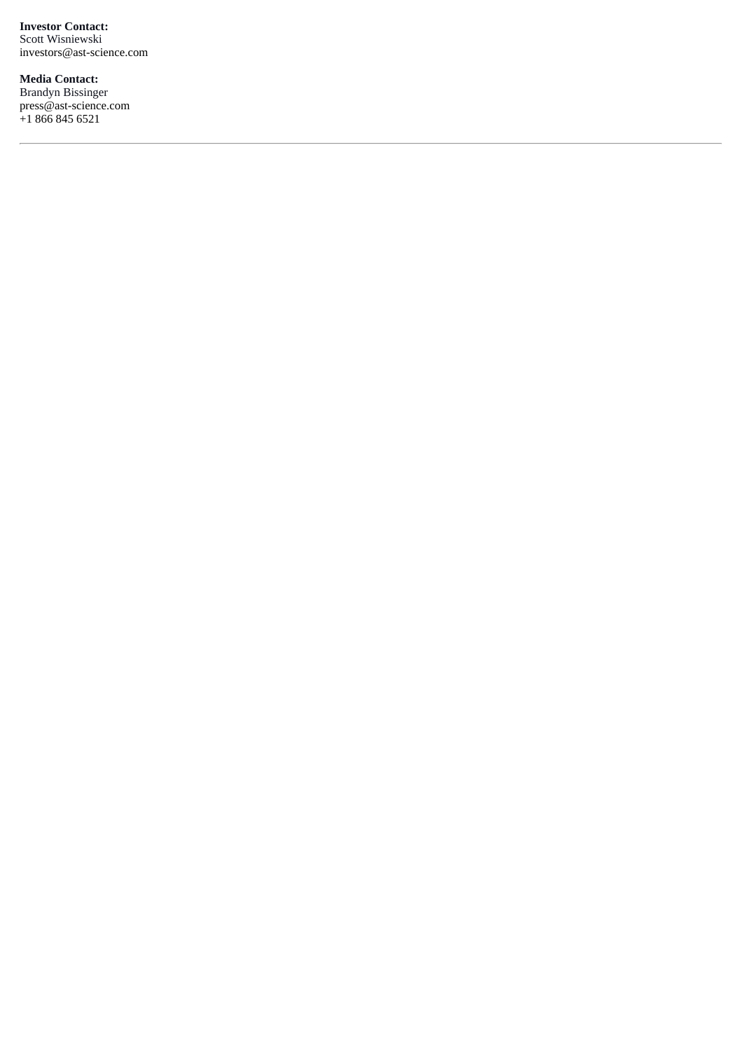**Investor Contact:** Scott Wisniewski investors@ast-science.com

**Media Contact:** Brandyn Bissinger press@ast-science.com +1 866 845 6521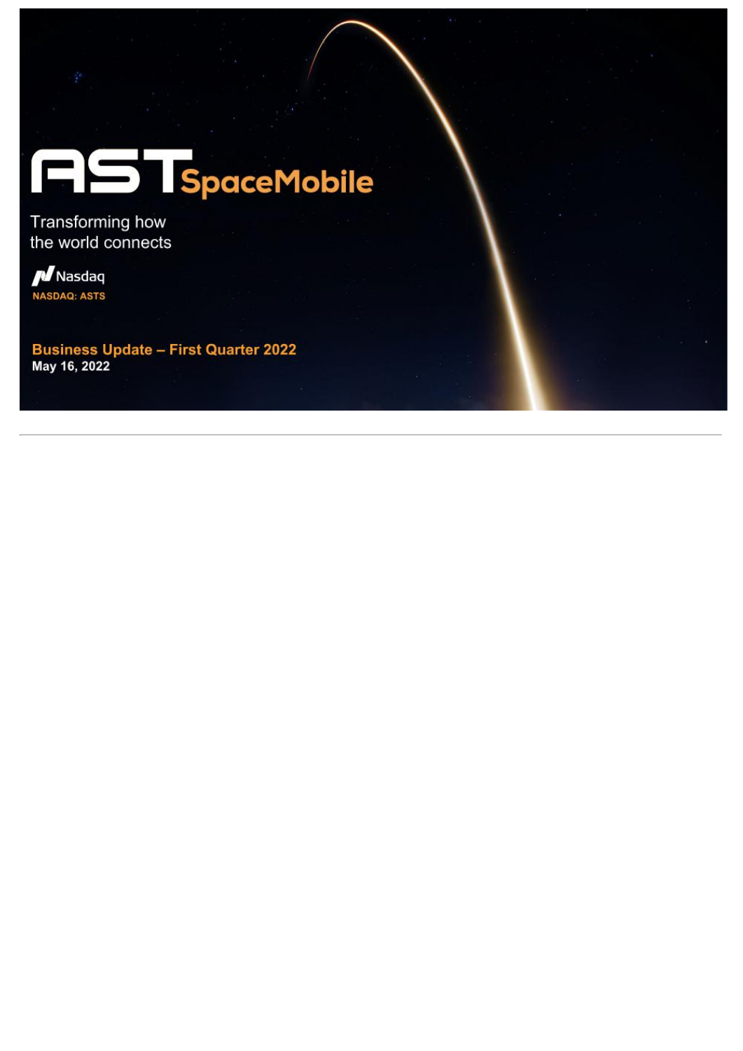# <span id="page-11-0"></span>**AST**SpaceMobile

Transforming how the world connects

M Nasdaq **NASDAQ: ASTS** 

**Business Update - First Quarter 2022** May 16, 2022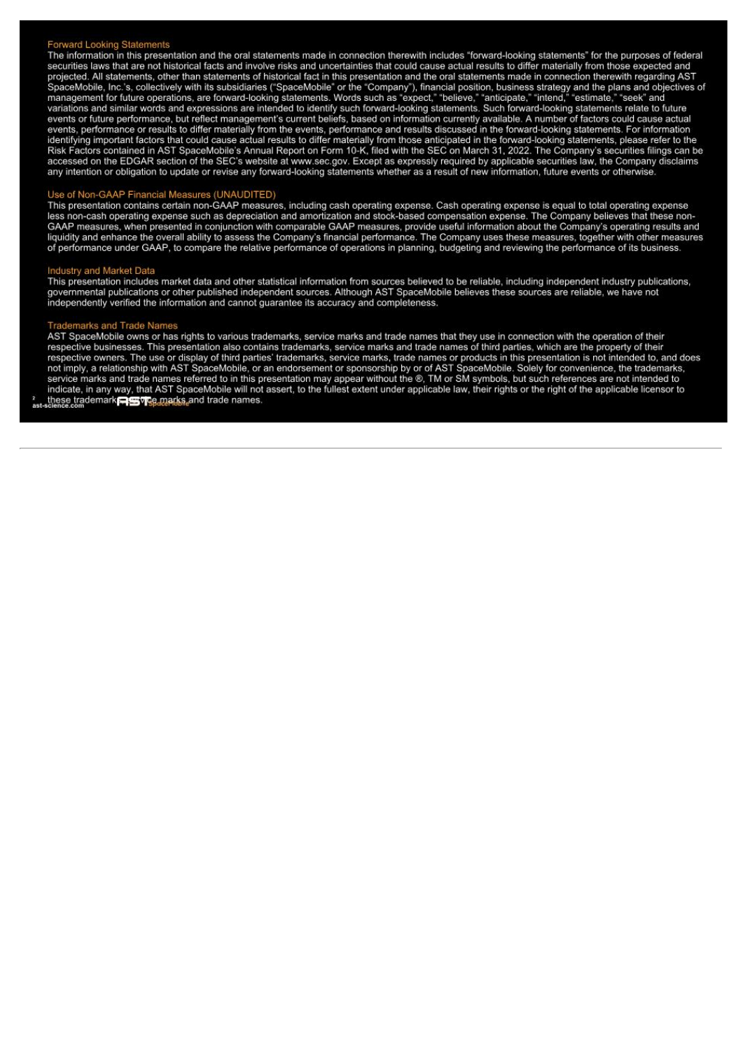#### **Forward Looking Statements**

The information in this presentation and the oral statements made in connection therewith includes "forward-looking statements" for the purposes of federal securities laws that are not historical facts and involve risks and uncertainties that could cause actual results to differ materially from those expected and projected. All statements, other than statements of historical fact in this presentation and the oral statements made in connection therewith regarding AST projected. All statements, other than statements of nistorical ract in this presentation and the oriental mandemant of the "Company"), financial position, business strategy and the plans and objectives of SpaceMobile", for identifying important factors that could cause actual results to differ materially from those anticipated in the forward-looking statements, please refer to the<br>Risk Factors contained in AST SpaceMobile's Annual Report on accessed on the EDGAR section of the SEC's website at www.sec.gov. Except as expressly required by applicable securities law, the Company disclaims any intention or obligation to update or revise any forward-looking statements whether as a result of new information, future events or otherwise

#### Use of Non-GAAP Financial Measures (UNAUDITED)

This presentation contains certain non-GAAP measures, including cash operating expense. Cash operating expense is equal to total operating expense less non-cash operating expense such as depreciation and amortization and stock-based compensation expense. The Company believes that these non-GAAP measures, when presented in conjunction with comparable GAAP measures, provide useful information about the Company's operating results and liquidity and enhance the overall ability to assess the Company's financial performance. The Company uses these measures, together with other measures of performance under GAAP, to compare the relative performance of opera

#### Industry and Market Data

This presentation includes market data and other statistical information from sources believed to be reliable, including independent industry publications, This presentation includes market data and other statistical infor independently verified the information and cannot guarantee its accuracy and completeness.

#### **Trademarks and Trade Names**

AST SpaceMobile owns or has rights to various trademarks, service marks and trade names that they use in connection with the operation of their respective businesses. This presentation also contains trademarks, service marks and trade names of third parties, which are the property of their respective ownresses. This presentation also contains trademialities, service marks and trade hames of third parties, which are the property of their<br>respective owners. The use or display of third parties' trademarks, serv these trademark<del>ported manuface</del> and trade names.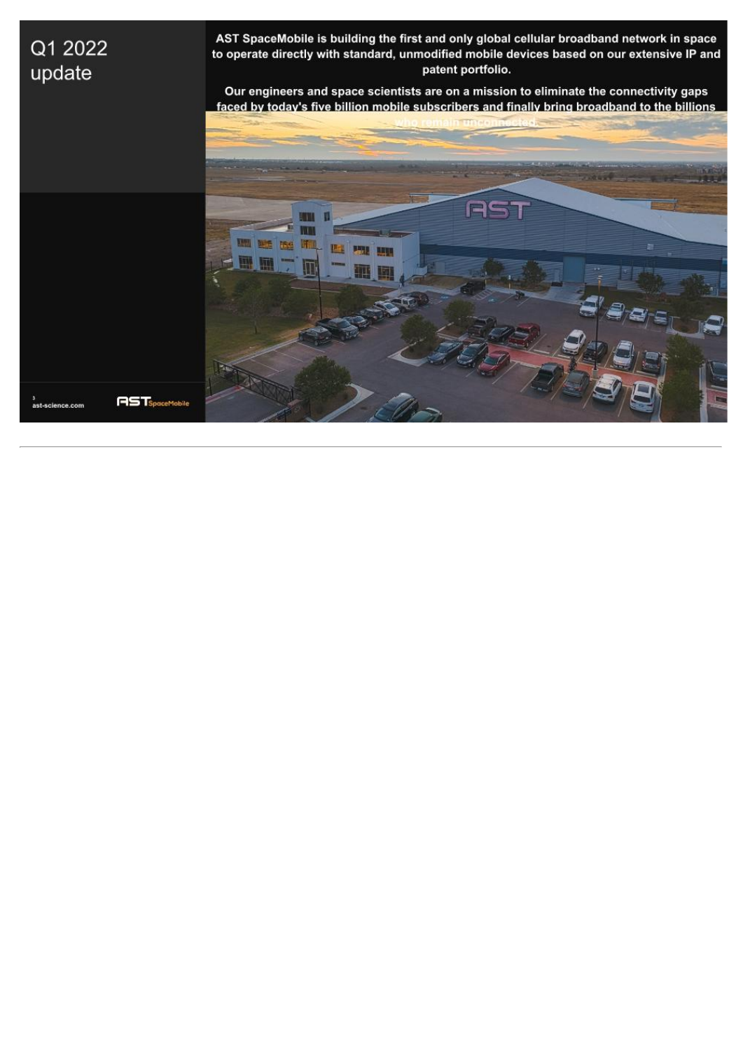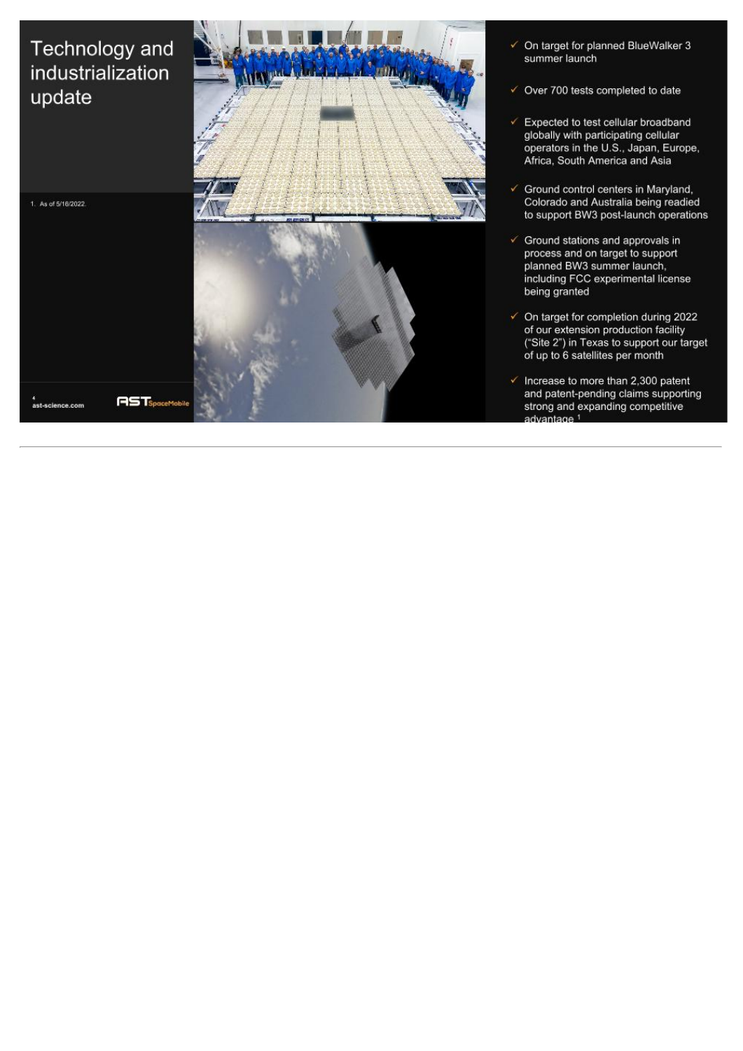# Technology and industrialization update

1. As of 5/16/2022

-<br>ast-science.com



- ← On target for planned BlueWalker 3 summer launch
- √ Over 700 tests completed to date
- Expected to test cellular broadband ú globally with participating cellular<br>operators in the U.S., Japan, Europe,<br>Africa, South America and Asia
- Ground control centers in Maryland, V Colorado and Australia being readied to support BW3 post-launch operations
- $\checkmark$  Ground stations and approvals in process and on target to support<br>planned BW3 summer launch, including FCC experimental license being granted
- $\checkmark$  On target for completion during 2022 of our extension production facility<br>("Site 2") in Texas to support our target of up to 6 satellites per month
- Increase to more than 2,300 patent V and patent-pending claims supporting strong and expanding competitive advantage<sup>1</sup>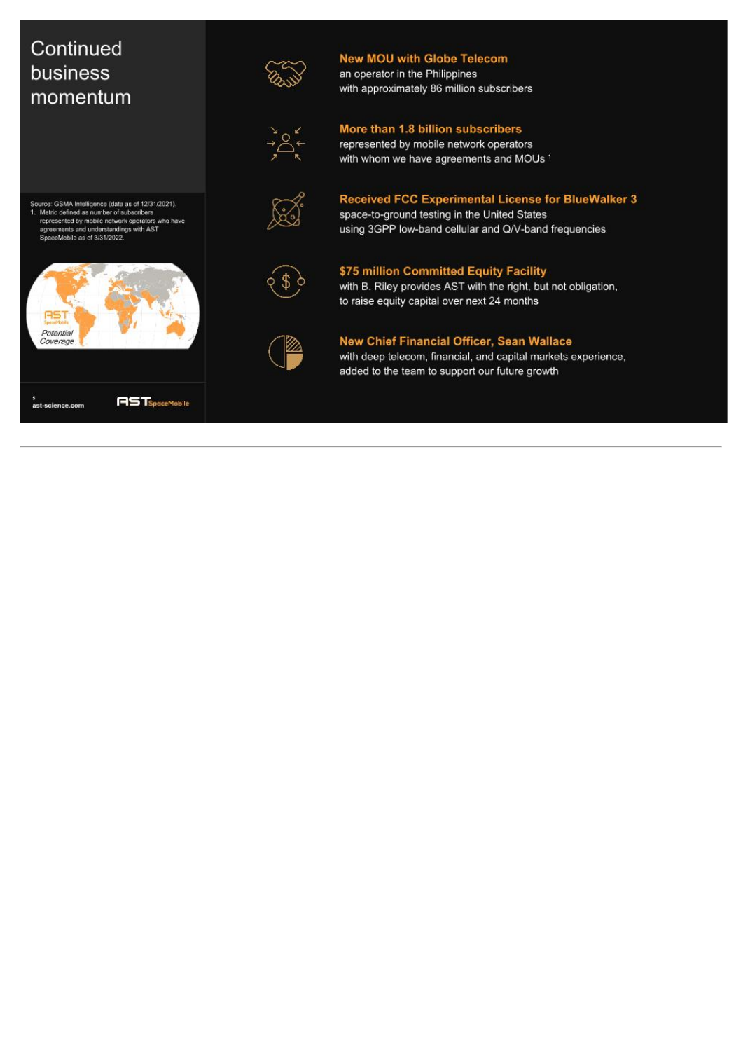# Continued business momentum





# **New MOU with Globe Telecom**

an operator in the Philippines with approximately 86 million subscribers



# More than 1.8 billion subscribers

represented by mobile network operators with whom we have agreements and MOUs<sup>1</sup>

Received FCC Experimental License for BlueWalker 3 space-to-ground testing in the United States using 3GPP low-band cellular and Q/V-band frequencies



# \$75 million Committed Equity Facility

with B. Riley provides AST with the right, but not obligation, to raise equity capital over next 24 months



# New Chief Financial Officer, Sean Wallace

with deep telecom, financial, and capital markets experience, added to the team to support our future growth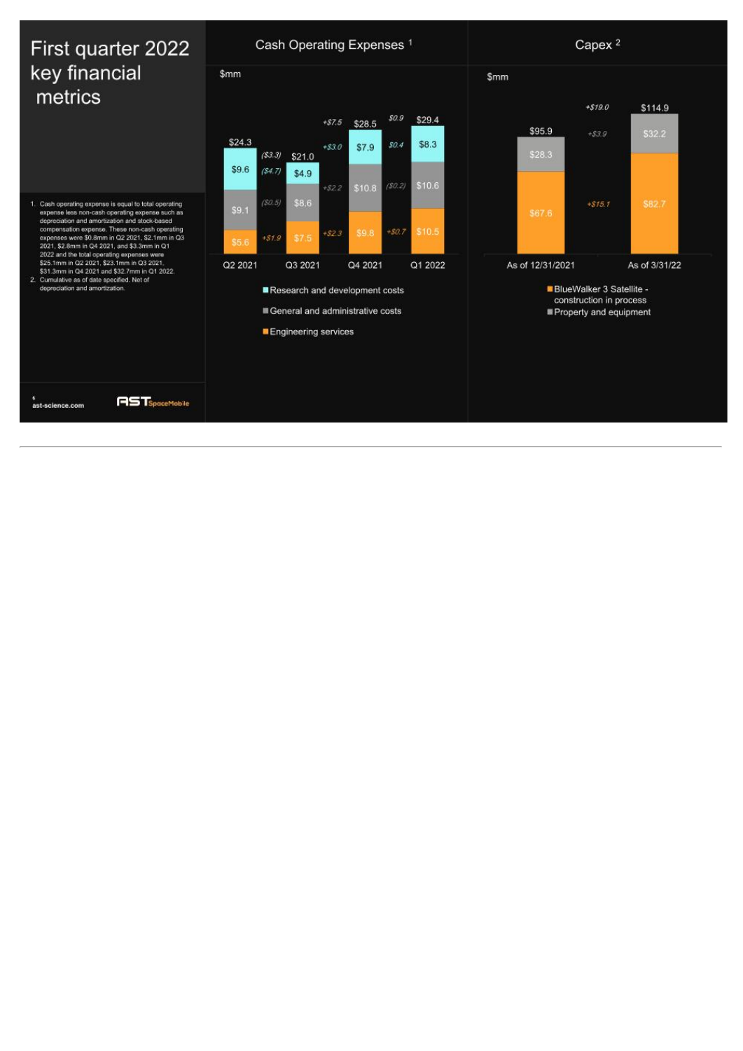